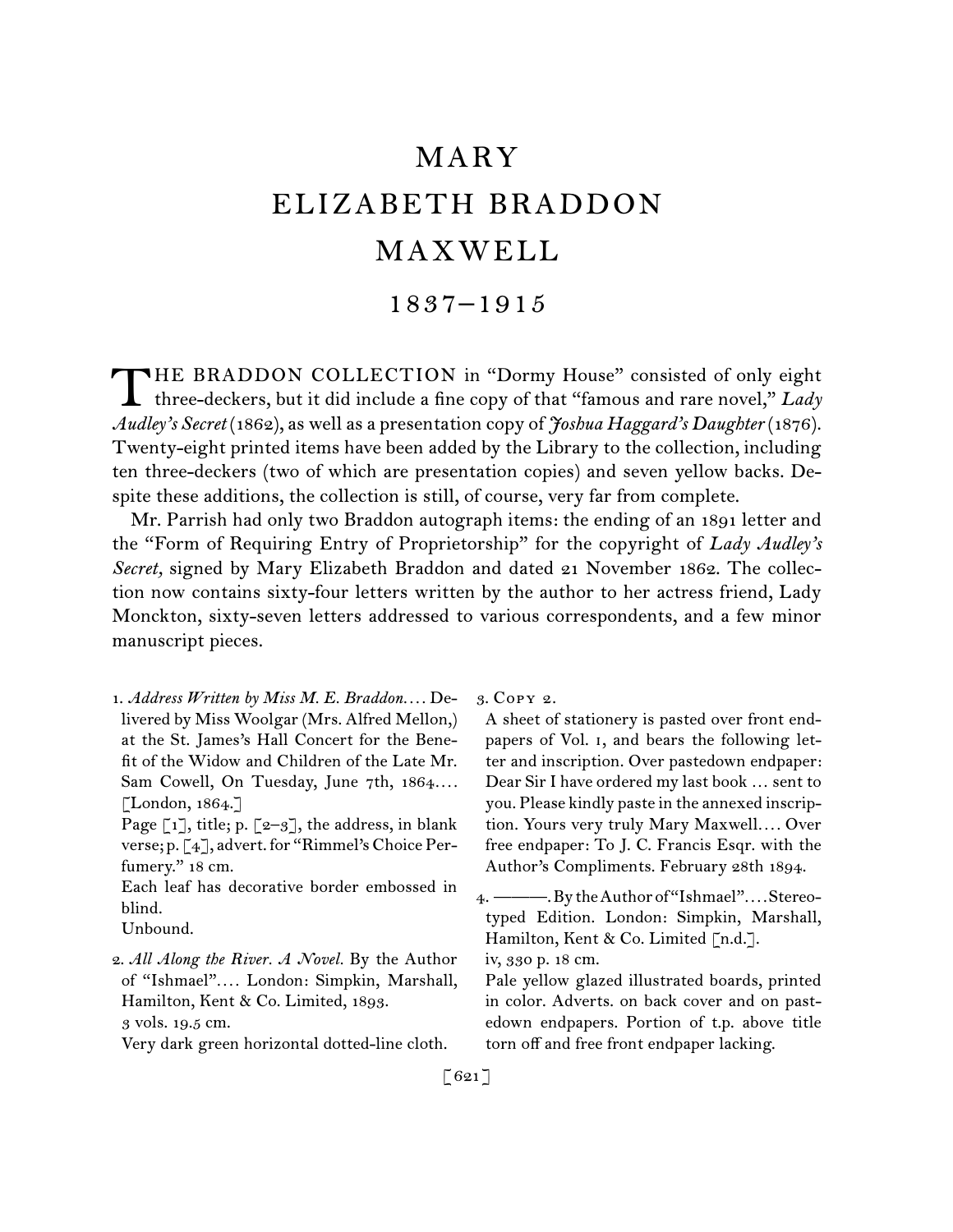# MARY ELIZABETH BRADDON MAXWELL

## 1837–1915

HE BRADDON COLLECTION in "Dormy House" consisted of only eight THE BRADDON COLLECTION in "Dormy House" consisted of only eight three-deckers, but it did include a fine copy of that "famous and rare novel," *Lady Audley's Secret* (1862), as well as a presentation copy of *Joshua Haggard's Daughter* (1876). Twenty-eight printed items have been added by the Library to the collection, including ten three-deckers (two of which are presentation copies) and seven yellow backs. Despite these additions, the collection is still, of course, very far from complete.

Mr. Parrish had only two Braddon autograph items: the ending of an 1891 letter and the "Form of Requiring Entry of Proprietorship" for the copyright of *Lady Audley's Secret,* signed by Mary Elizabeth Braddon and dated 21 November 1862. The collection now contains sixty-four letters written by the author to her actress friend, Lady Monckton, sixty-seven letters addressed to various correspondents, and a few minor manuscript pieces.

1.  *Address Written by Miss M. E. Braddon. . . .* Delivered by Miss Woolgar (Mrs. Alfred Mellon,) at the St. James's Hall Concert for the Benefit of the Widow and Children of the Late Mr. Sam Cowell, On Tuesday, June 7th, 1864*. . . .* [London, 1864.]

Each leaf has decorative border embossed in blind.

Very dark green horizontal dotted-line cloth.

3.  Copy 2.

A sheet of stationery is pasted over front endpapers of Vol. i, and bears the following letter and inscription. Over pastedown endpaper: Dear Sir I have ordered my last book … sent to you. Please kindly paste in the annexed inscription. Yours very truly Mary Maxwell*. . . .* Over free endpaper: To J. C. Francis Esqr. with the Author's Compliments. February 28th 1894.

Page  $\lceil 1 \rceil$ , title; p.  $\lceil 2-3 \rceil$ , the address, in blank verse; p. [4], advert. for "Rimmel's Choice Perfumery." 18 cm.

Unbound.

<sup>2.</sup>*All Along the River. A Novel.* By the Author of "Ishmael"*. . . .* London: Simpkin, Marshall, Hamilton, Kent & Co. Limited, 1893. 3 vols. 19.5 cm.

<sup>4.  ———.</sup>BytheAuthorof"Ishmael"*. . . .*Stereotyped Edition. London: Simpkin, Marshall, Hamilton, Kent & Co. Limited [n.d.].

iv, 330 p. 18 cm.

Pale yellow glazed illustrated boards, printed in color. Adverts. on back cover and on pastedown endpapers. Portion of t.p. above title torn off and free front endpaper lacking.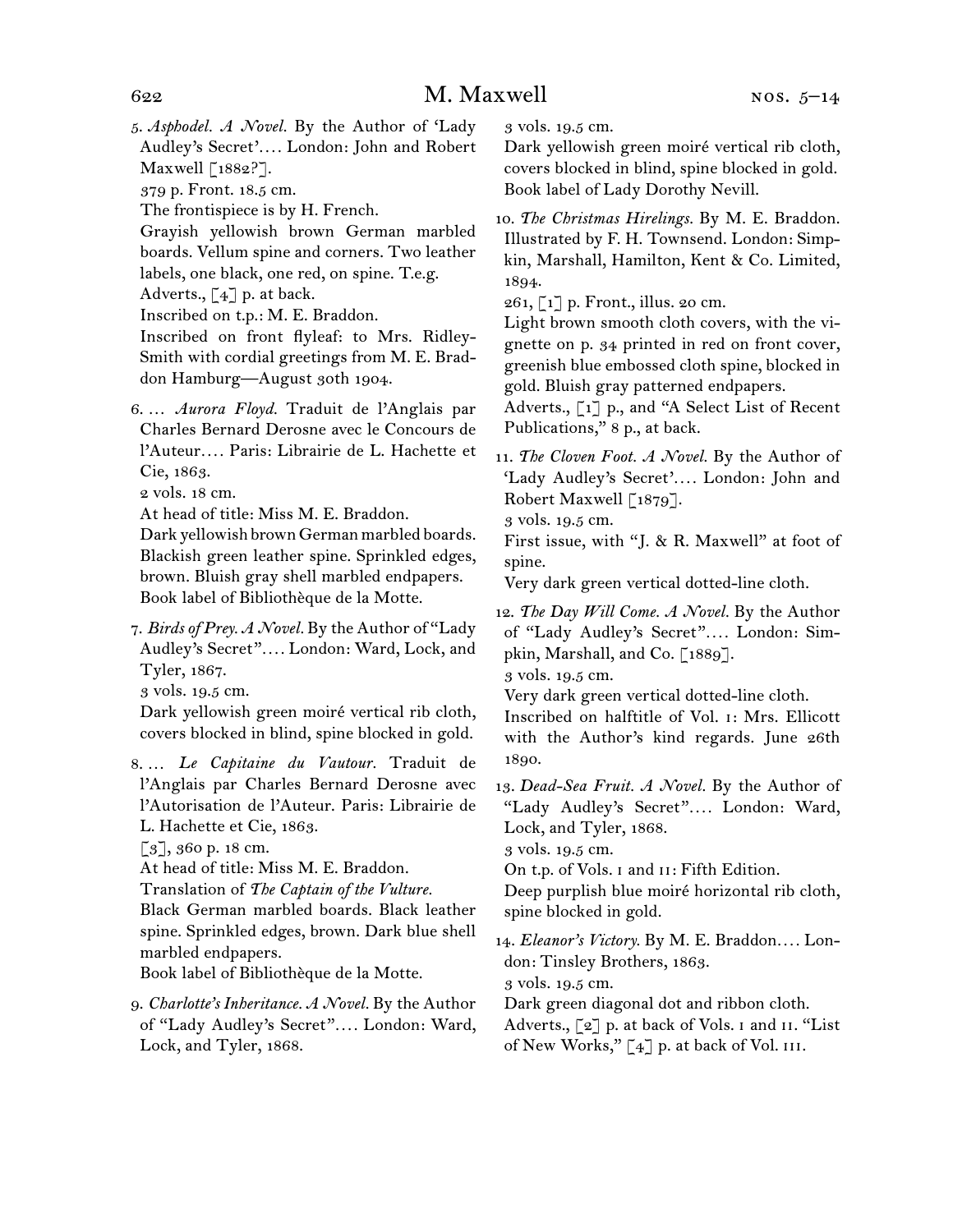5.  *Asphodel. A Novel.* By the Author of 'Lady Audley's Secret'*. . . .* London: John and Robert Maxwell [1882?].

379 p. Front. 18.5 cm.

The frontispiece is by H. French.

Grayish yellowish brown German marbled boards. Vellum spine and corners. Two leather labels, one black, one red, on spine. T.e.g.

Adverts.,  $\lceil 4 \rceil$  p. at back.

Inscribed on t.p.: M. E. Braddon.

- Inscribed on front flyleaf: to Mrs. Ridley-Smith with cordial greetings from M. E. Braddon Hamburg—August 30th 1904.
- 6.  … *Aurora Floyd.* Traduit de l'Anglais par Charles Bernard Derosne avec le Concours de l'Auteur*. . . .* Paris: Librairie de L. Hachette et Cie, 1863.

2 vols. 18 cm.

At head of title: Miss M. E. Braddon.

Dark yellowish brown German marbled boards. Blackish green leather spine. Sprinkled edges, brown. Bluish gray shell marbled endpapers. Book label of Bibliothèque de la Motte.

7.  *Birds of Prey. A Novel.* By the Author of "Lady Audley's Secret"*. . . .* London: Ward, Lock, and Tyler, 1867.

3 vols. 19.5 cm.

Dark yellowish green moiré vertical rib cloth, covers blocked in blind, spine blocked in gold.

8.  … *Le Capitaine du Vautour.* Traduit de l'Anglais par Charles Bernard Derosne avec l'Autorisation de l'Auteur. Paris: Librairie de L. Hachette et Cie, 1863.

[3], 360 p. 18 cm.

At head of title: Miss M. E. Braddon.

Translation of *The Captain of the Vulture.*

Black German marbled boards. Black leather spine. Sprinkled edges, brown. Dark blue shell marbled endpapers.

Book label of Bibliothèque de la Motte.

9.  *Charlotte's Inheritance. A Novel.* By the Author of "Lady Audley's Secret"*. . . .* London: Ward, Lock, and Tyler, 1868.

3 vols. 19.5 cm.

Dark yellowish green moiré vertical rib cloth, covers blocked in blind, spine blocked in gold. Book label of Lady Dorothy Nevill.

10.  *The Christmas Hirelings.* By M. E. Braddon. Illustrated by F. H. Townsend. London: Simpkin, Marshall, Hamilton, Kent & Co. Limited, 1894.

261, [1] p. Front., illus. 20 cm.

Light brown smooth cloth covers, with the vignette on p. 34 printed in red on front cover, greenish blue embossed cloth spine, blocked in gold. Bluish gray patterned endpapers.

Adverts., [1] p., and "A Select List of Recent Publications," 8 p., at back.

11.  *The Cloven Foot. A Novel.* By the Author of 'Lady Audley's Secret'*. . . .* London: John and Robert Maxwell [1879].

3 vols. 19.5 cm.

First issue, with "J. & R. Maxwell" at foot of spine.

Very dark green vertical dotted-line cloth.

12.  *The Day Will Come. A Novel.* By the Author of "Lady Audley's Secret"*. . . .* London: Simpkin, Marshall, and Co. [1889].

3 vols. 19.5 cm.

Very dark green vertical dotted-line cloth.

Inscribed on halftitle of Vol. i: Mrs. Ellicott with the Author's kind regards. June 26th 1890.

13.  *Dead-Sea Fruit. A Novel.* By the Author of "Lady Audley's Secret"*. . . .* London: Ward, Lock, and Tyler, 1868.

3 vols. 19.5 cm.

On t.p. of Vols. I and II: Fifth Edition.

Deep purplish blue moiré horizontal rib cloth, spine blocked in gold.

14.  *Eleanor's Victory.* By M. E. Braddon*. . . .* London: Tinsley Brothers, 1863.

3 vols. 19.5 cm.

Dark green diagonal dot and ribbon cloth.

Adverts.,  $\lceil 2 \rceil$  p. at back of Vols. I and II. "List of New Works,"  $[4]$  p. at back of Vol. III.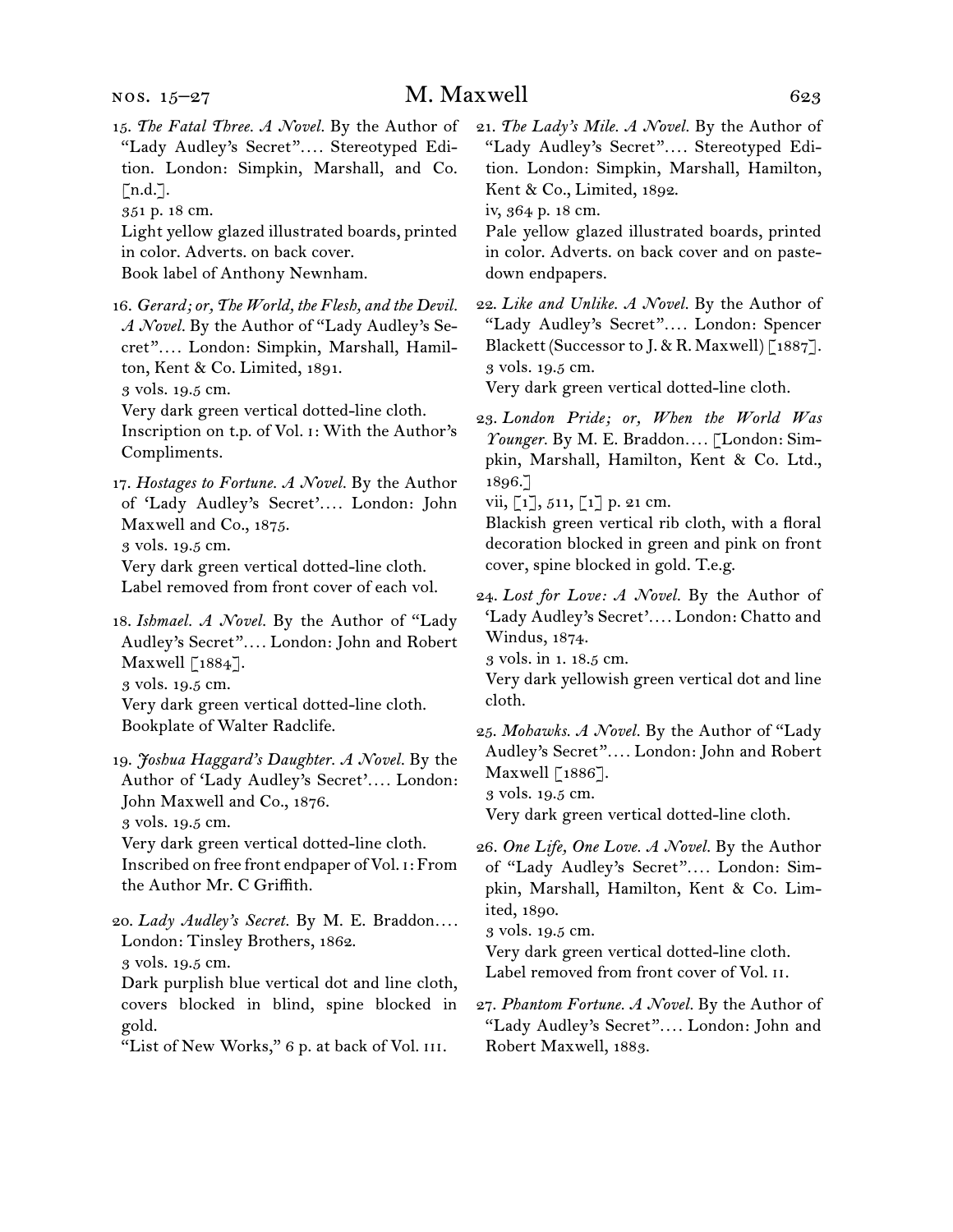- 15.  *The Fatal Three. A Novel.* By the Author of "Lady Audley's Secret"*. . . .* Stereotyped Edition. London: Simpkin, Marshall, and Co.  $\lceil n.d.\rceil$ .
- 351 p. 18 cm.

Light yellow glazed illustrated boards, printed in color. Adverts. on back cover. Book label of Anthony Newnham.

16.  *Gerard; or, The World, the Flesh, and the Devil. A Novel.* By the Author of "Lady Audley's Secret"*. . . .* London: Simpkin, Marshall, Hamilton, Kent & Co. Limited, 1891.

3 vols. 19.5 cm.

Very dark green vertical dotted-line cloth.

Inscription on t.p. of Vol. i: With the Author's Compliments.

17.  *Hostages to Fortune. A Novel.* By the Author of 'Lady Audley's Secret'*. . . .* London: John Maxwell and Co., 1875.

3 vols. 19.5 cm.

Very dark green vertical dotted-line cloth. Label removed from front cover of each vol.

18.  *Ishmael. A Novel.* By the Author of "Lady Audley's Secret"*. . . .* London: John and Robert Maxwell [1884]. 3 vols. 19.5 cm. Very dark green vertical dotted-line cloth. Bookplate of Walter Radclife.

19.  *Joshua Haggard's Daughter. A Novel.* By the Author of 'Lady Audley's Secret'*. . . .* London: John Maxwell and Co., 1876.

3 vols. 19.5 cm.

Very dark green vertical dotted-line cloth. Inscribed on free front endpaper of Vol. i: From the Author Mr. C Griffith.

20.  *Lady Audley's Secret.* By M. E. Braddon*. . . .*  London: Tinsley Brothers, 1862. 3 vols. 19.5 cm.

Dark purplish blue vertical dot and line cloth, covers blocked in blind, spine blocked in gold.

"List of New Works," 6 p. at back of Vol. III.

21.  *The Lady's Mile. A Novel.* By the Author of "Lady Audley's Secret"*. . . .* Stereotyped Edition. London: Simpkin, Marshall, Hamilton, Kent & Co., Limited, 1892.

iv, 364 p. 18 cm.

Pale yellow glazed illustrated boards, printed in color. Adverts. on back cover and on pastedown endpapers.

22.  *Like and Unlike. A Novel.* By the Author of "Lady Audley's Secret"*. . . .* London: Spencer Blackett (Successor to J. & R. Maxwell) [1887]. 3 vols. 19.5 cm.

Very dark green vertical dotted-line cloth.

23.  *London Pride; or, When the World Was Younger.* By M. E. Braddon*. . . .* [London: Simpkin, Marshall, Hamilton, Kent & Co. Ltd., 1896.]

vii,  $[1], 511, [1]$  p. 21 cm.

Blackish green vertical rib cloth, with a floral decoration blocked in green and pink on front cover, spine blocked in gold. T.e.g.

24.  *Lost for Love: A Novel.* By the Author of 'Lady Audley's Secret'*. . . .* London: Chatto and Windus, 1874.

3 vols. in 1. 18.5 cm.

Very dark yellowish green vertical dot and line cloth.

25.  *Mohawks. A Novel.* By the Author of "Lady Audley's Secret"*. . . .* London: John and Robert Maxwell  $\lceil 1886 \rceil$ .

3 vols. 19.5 cm.

Very dark green vertical dotted-line cloth.

26.  *One Life, One Love. A Novel.* By the Author of "Lady Audley's Secret"*. . . .* London: Simpkin, Marshall, Hamilton, Kent & Co. Limited, 1890.

3 vols. 19.5 cm.

Very dark green vertical dotted-line cloth. Label removed from front cover of Vol. ii.

27.  *Phantom Fortune. A Novel.* By the Author of "Lady Audley's Secret"*. . . .* London: John and Robert Maxwell, 1883.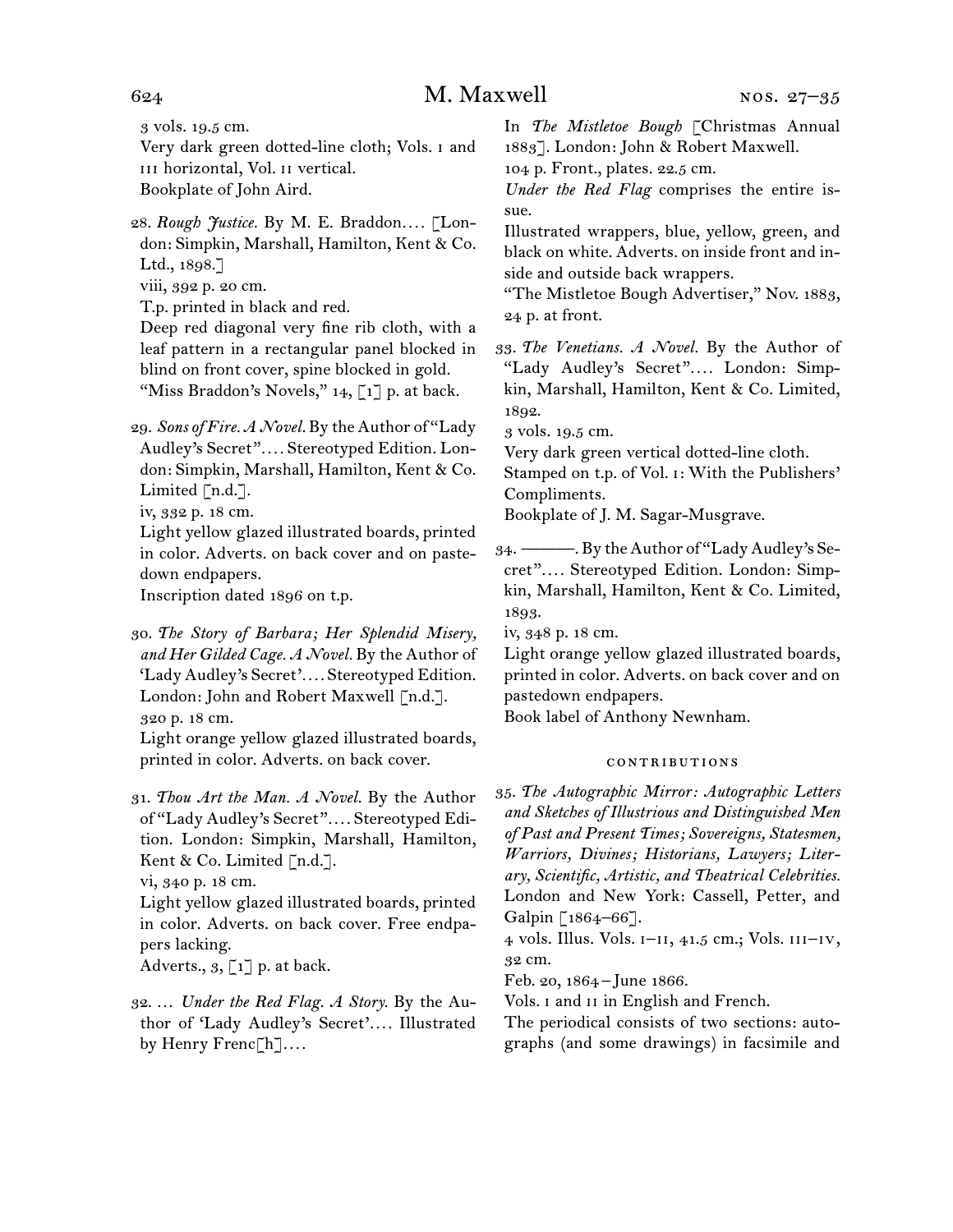3 vols. 19.5 cm.

- Very dark green dotted-line cloth; Vols. i and iii horizontal, Vol. ii vertical. Bookplate of John Aird.
- 28.  *Rough Justice.* By M. E. Braddon*. . . .* [London: Simpkin, Marshall, Hamilton, Kent & Co. Ltd., 1898.]
- viii, 392 p. 20 cm.
- T.p. printed in black and red.

Deep red diagonal very fine rib cloth, with a leaf pattern in a rectangular panel blocked in blind on front cover, spine blocked in gold. "Miss Braddon's Novels,"  $14$ , [1] p. at back.

29.  *Sons of Fire. A Novel.* By the Author of "Lady Audley's Secret"*. . . .* Stereotyped Edition. London: Simpkin, Marshall, Hamilton, Kent & Co. Limited  $[n.d.]$ .

iv, 332 p. 18 cm.

Light yellow glazed illustrated boards, printed in color. Adverts. on back cover and on pastedown endpapers.

Inscription dated 1896 on t.p.

30.  *The Story of Barbara; Her Splendid Misery, and Her Gilded Cage. A Novel.* By the Author of 'Lady Audley's Secret'*. . . .* Stereotyped Edition. London: John and Robert Maxwell [n.d.]. 320 p. 18 cm.

Light orange yellow glazed illustrated boards, printed in color. Adverts. on back cover.

31.  *Thou Art the Man. A Novel.* By the Author of "Lady Audley's Secret"*. . . .* Stereotyped Edition. London: Simpkin, Marshall, Hamilton, Kent & Co. Limited [n.d.].

vi, 340 p. 18 cm.

Light yellow glazed illustrated boards, printed in color. Adverts. on back cover. Free endpapers lacking.

Adverts.,  $3, \lceil 1 \rceil$  p. at back.

32.  … *Under the Red Flag. A Story.* By the Author of 'Lady Audley's Secret'*. . . .* Illustrated by Henry Frenc[h]*. . . .*

In *The Mistletoe Bough* [Christmas Annual 1883]. London: John & Robert Maxwell.

104 p. Front., plates. 22.5 cm.

*Under the Red Flag* comprises the entire issue.

Illustrated wrappers, blue, yellow, green, and black on white. Adverts. on inside front and inside and outside back wrappers.

"The Mistletoe Bough Advertiser," Nov. 1883, 24 p. at front.

33.  *The Venetians. A Novel.* By the Author of "Lady Audley's Secret"*. . . .* London: Simpkin, Marshall, Hamilton, Kent & Co. Limited, 1892.

3 vols. 19.5 cm.

Very dark green vertical dotted-line cloth.

Stamped on t.p. of Vol. i: With the Publishers' Compliments.

Bookplate of J. M. Sagar-Musgrave.

34.  ———. By theAuthor of "LadyAudley's Secret"*. . . .* Stereotyped Edition. London: Simpkin, Marshall, Hamilton, Kent & Co. Limited, 1893.

iv, 348 p. 18 cm.

Light orange yellow glazed illustrated boards, printed in color. Adverts. on back cover and on pastedown endpapers.

Book label of Anthony Newnham.

### contributions

35.  *The Autographic Mirror: Autographic Letters and Sketches of Illustrious and Distinguished Men of Past and Present Times; Sovereigns, Statesmen, Warriors, Divines; Historians, Lawyers; Literary, Scientific, Artistic, and Theatrical Celebrities.* London and New York: Cassell, Petter, and Galpin [1864–66].

4 vols. Illus. Vols. i–ii, 41.5 cm.; Vols. iii–iv, 32 cm.

Feb. 20, 1864 – June 1866.

Vols. I and II in English and French.

The periodical consists of two sections: autographs (and some drawings) in facsimile and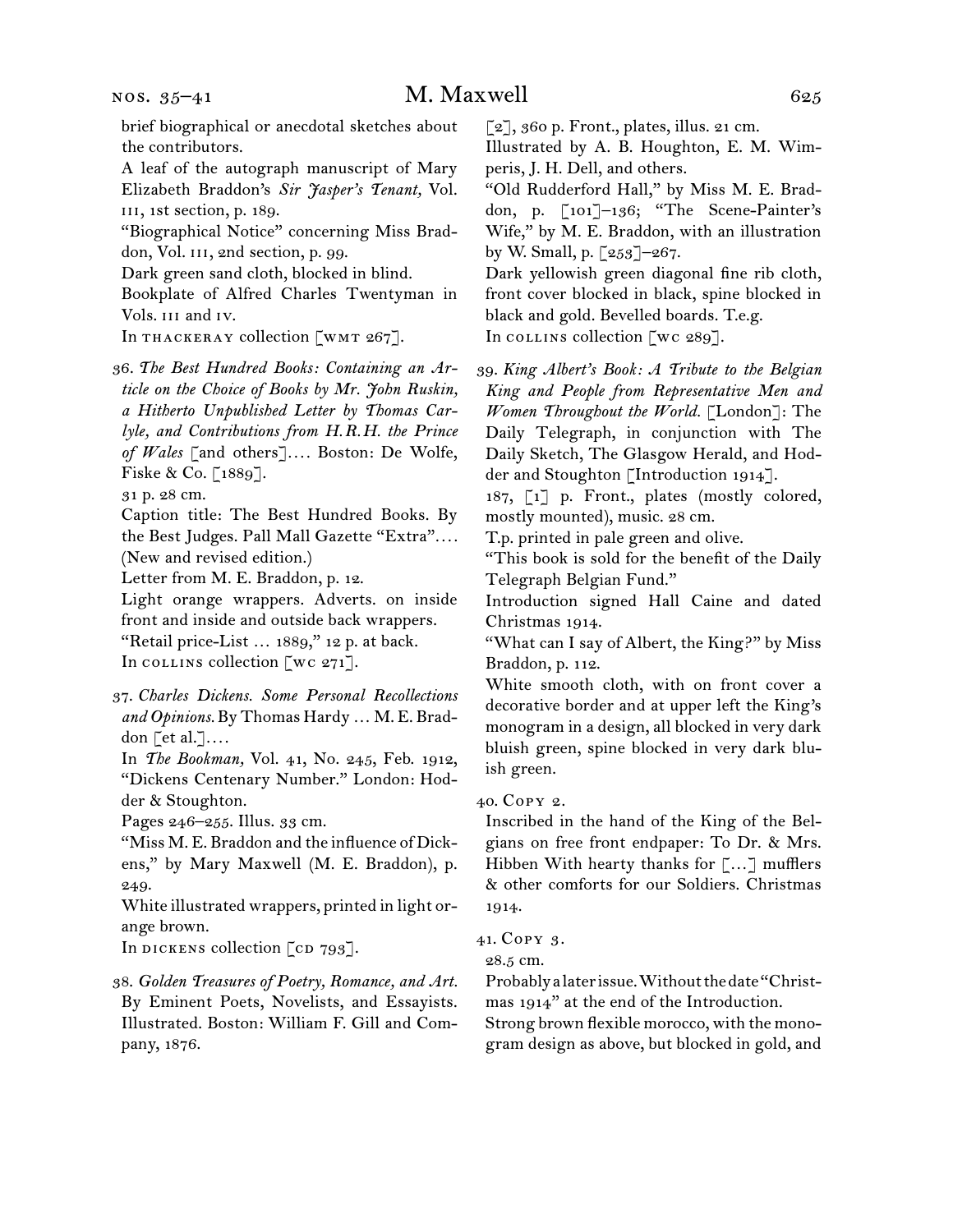nos. 35–41

brief biographical or anecdotal sketches about the contributors.

A leaf of the autograph manuscript of Mary Elizabeth Braddon's *Sir Jasper's Tenant,* Vol. iii, 1st section, p. 189.

"Biographical Notice" concerning Miss Braddon, Vol. III, 2nd section, p. 99.

Dark green sand cloth, blocked in blind.

Bookplate of Alfred Charles Twentyman in Vols. iii and iv.

In THACKERAY collection  $\lceil w \rceil \leq 267 \rceil$ .

36.  *The Best Hundred Books: Containing an Article on the Choice of Books by Mr. John Ruskin, a Hitherto Unpublished Letter by Thomas Carlyle, and Contributions from H.R.H. the Prince of Wales* [and others]*. . . .* Boston: De Wolfe, Fiske & Co. [1889].

31 p. 28 cm.

Caption title: The Best Hundred Books. By the Best Judges. Pall Mall Gazette "Extra"*. . . .* (New and revised edition.)

Letter from M. E. Braddon, p. 12.

Light orange wrappers. Adverts. on inside front and inside and outside back wrappers. "Retail price-List … 1889," 12 p. at back.

In collection  $\lceil$  wc 271].

37.  *Charles Dickens. Some Personal Recollections and Opinions.* By Thomas Hardy … M. E. Braddon [et al.]*. . . .*

In *The Bookman,* Vol. 41, No. 245, Feb. 1912, "Dickens Centenary Number." London: Hodder & Stoughton.

Pages 246–255. Illus. 33 cm.

"Miss M. E. Braddon and the influence of Dickens," by Mary Maxwell (M. E. Braddon), p. 249.

White illustrated wrappers, printed in light orange brown.

In DICKENS collection [CD 793].

38.  *Golden Treasures of Poetry, Romance, and Art.* By Eminent Poets, Novelists, and Essayists. Illustrated. Boston: William F. Gill and Company, 1876.

 $\lceil 2 \rceil$ , 360 p. Front., plates, illus. 21 cm.

Illustrated by A. B. Houghton, E. M. Wimperis, J. H. Dell, and others.

"Old Rudderford Hall," by Miss M. E. Braddon, p. [101]–136; "The Scene-Painter's Wife," by M. E. Braddon, with an illustration by W. Small, p. [253]–267.

Dark yellowish green diagonal fine rib cloth, front cover blocked in black, spine blocked in black and gold. Bevelled boards. T.e.g. In collins collection [wc  $289$ ].

39.  *King Albert's Book: A Tribute to the Belgian King and People from Representative Men and Women Throughout the World.* [London]: The Daily Telegraph, in conjunction with The Daily Sketch, The Glasgow Herald, and Hodder and Stoughton [Introduction 1914].

187, [1] p. Front., plates (mostly colored, mostly mounted), music. 28 cm.

T.p. printed in pale green and olive.

"This book is sold for the benefit of the Daily Telegraph Belgian Fund."

Introduction signed Hall Caine and dated Christmas 1914.

"What can I say of Albert, the King?" by Miss Braddon, p. 112.

White smooth cloth, with on front cover a decorative border and at upper left the King's monogram in a design, all blocked in very dark bluish green, spine blocked in very dark bluish green.

40.  Copy 2.

Inscribed in the hand of the King of the Belgians on free front endpaper: To Dr. & Mrs. Hibben With hearty thanks for […] mufflers & other comforts for our Soldiers. Christmas 1914.

41.  Copy 3.

28.5 cm.

Probablyalaterissue.Withoutthedate"Christmas 1914" at the end of the Introduction.

Strong brown flexible morocco, with the monogram design as above, but blocked in gold, and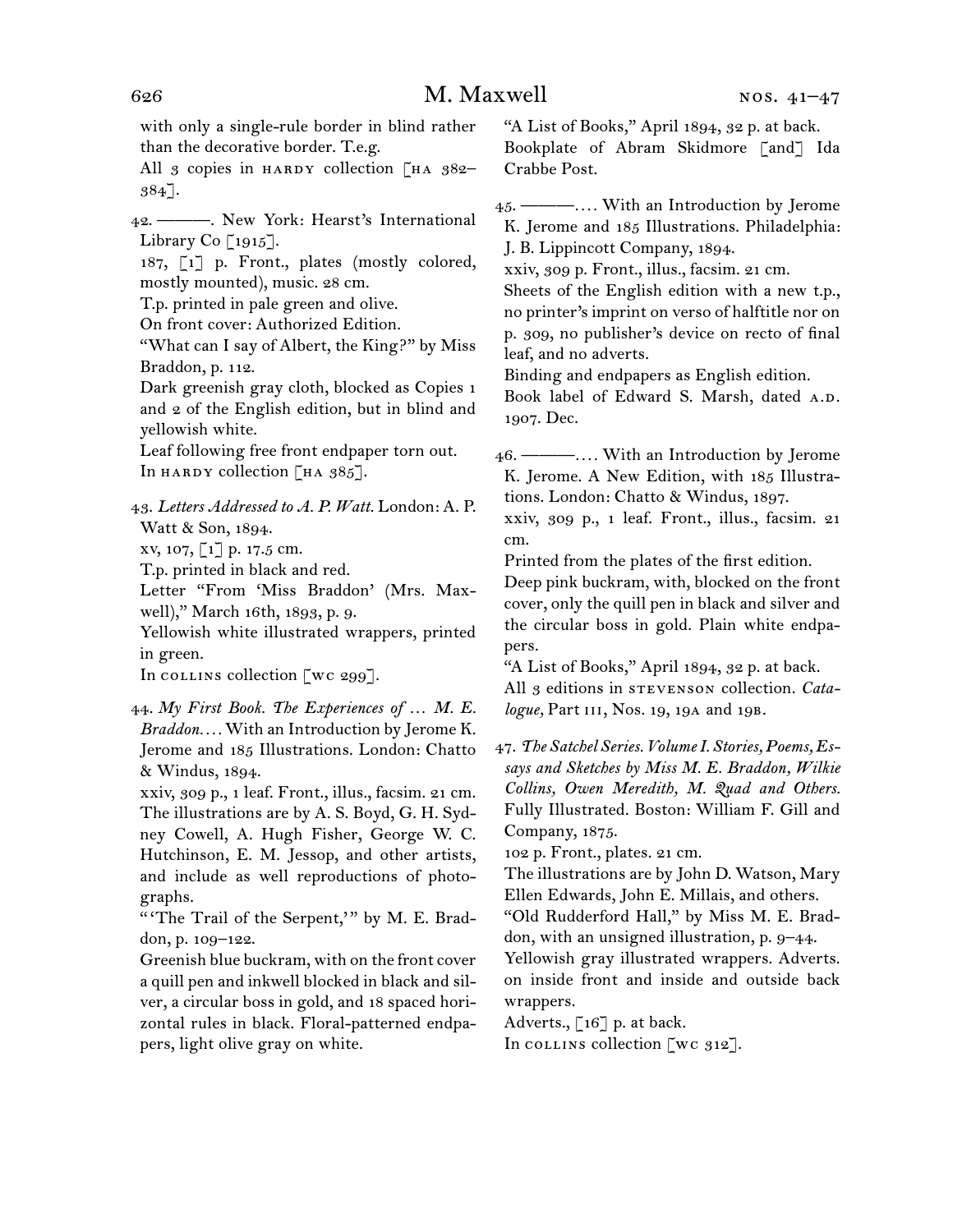with only a single-rule border in blind rather than the decorative border. T.e.g. All  $\beta$  copies in HARDY collection [HA  $382-$ 384]. 42.  ———. New York: Hearst's International Library Co  $\lceil 1915 \rceil$ . 187, [1] p. Front., plates (mostly colored, mostly mounted), music. 28 cm. T.p. printed in pale green and olive. On front cover: Authorized Edition. "What can I say of Albert, the King?" by Miss Braddon, p. 112. Dark greenish gray cloth, blocked as Copies 1 and 2 of the English edition, but in blind and yellowish white. Leaf following free front endpaper torn out. In HARDY collection  $\lceil$  HA 385]. 43.  *Letters Addressed to A. P. Watt.* London: A. P. Watt & Son, 1894. xv, 107, [1] p. 17.5 cm. T.p. printed in black and red. Letter "From 'Miss Braddon' (Mrs. Maxwell)," March 16th, 1893, p. 9. Yellowish white illustrated wrappers, printed in green. In collins collection [wc 299]. 44.  *My First Book. The Experiences of … M. E. Braddon. . . .* With an Introduction by Jerome K. Jerome and 185 Illustrations. London: Chatto & Windus, 1894. xxiv, 309 p., 1 leaf. Front., illus., facsim. 21 cm.

The illustrations are by A. S. Boyd, G. H. Sydney Cowell, A. Hugh Fisher, George W. C. Hutchinson, E. M. Jessop, and other artists, and include as well reproductions of photographs.

" 'The Trail of the Serpent,' " by M. E. Braddon, p. 109–122.

Greenish blue buckram, with on the front cover a quill pen and inkwell blocked in black and silver, a circular boss in gold, and 18 spaced horizontal rules in black. Floral-patterned endpapers, light olive gray on white.

"A List of Books," April 1894, 32 p. at back. Bookplate of Abram Skidmore [and] Ida Crabbe Post.

45.  ———*. . . .* With an Introduction by Jerome K. Jerome and 185 Illustrations. Philadelphia: J. B. Lippincott Company, 1894.

xxiv, 309 p. Front., illus., facsim. 21 cm.

Sheets of the English edition with a new t.p., no printer's imprint on verso of halftitle nor on p. 309, no publisher's device on recto of final leaf, and no adverts.

Binding and endpapers as English edition.

Book label of Edward S. Marsh, dated A.D. 1907. Dec.

46.  ———*. . . .* With an Introduction by Jerome K. Jerome. A New Edition, with 185 Illustrations. London: Chatto & Windus, 1897.

xxiv, 309 p., 1 leaf. Front., illus., facsim. 21 cm.

Printed from the plates of the first edition.

Deep pink buckram, with, blocked on the front cover, only the quill pen in black and silver and the circular boss in gold. Plain white endpapers.

"A List of Books," April 1894, 32 p. at back. All 3 editions in STEVENSON collection. *Catalogue,* Part iii, Nos. 19, 19a and 19b.

47.  *The Satchel Series. Volume I. Stories, Poems, Essays and Sketches by Miss M. E. Braddon, Wilkie Collins, Owen Meredith, M. Quad and Others.* Fully Illustrated. Boston: William F. Gill and Company, 1875.

102 p. Front., plates. 21 cm.

The illustrations are by John D. Watson, Mary Ellen Edwards, John E. Millais, and others.

"Old Rudderford Hall," by Miss M. E. Braddon, with an unsigned illustration, p. 9–44.

Yellowish gray illustrated wrappers. Adverts. on inside front and inside and outside back wrappers.

Adverts.,  $\lceil 16 \rceil$  p. at back.

In collins collection [wc 312].